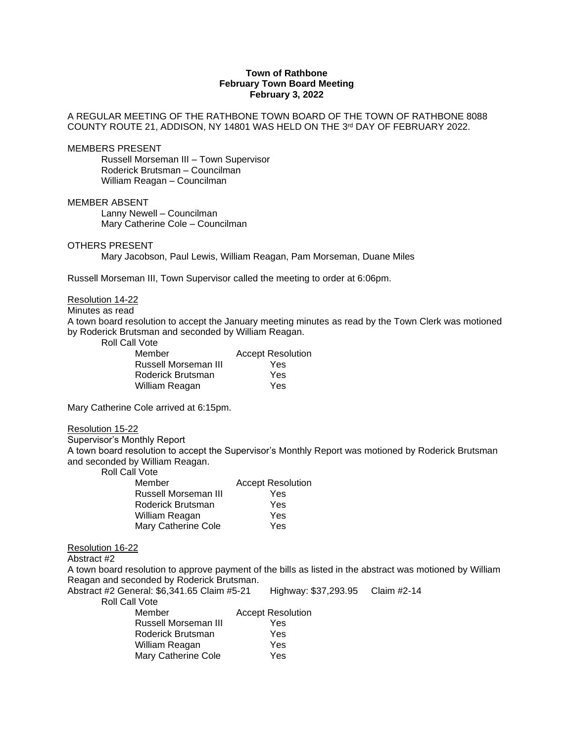# **Town of Rathbone February Town Board Meeting February 3, 2022**

### A REGULAR MEETING OF THE RATHBONE TOWN BOARD OF THE TOWN OF RATHBONE 8088 COUNTY ROUTE 21, ADDISON, NY 14801 WAS HELD ON THE 3 rd DAY OF FEBRUARY 2022.

MEMBERS PRESENT

Russell Morseman III – Town Supervisor Roderick Brutsman – Councilman William Reagan – Councilman

MEMBER ABSENT

Lanny Newell – Councilman Mary Catherine Cole – Councilman

### OTHERS PRESENT

Mary Jacobson, Paul Lewis, William Reagan, Pam Morseman, Duane Miles

Russell Morseman III, Town Supervisor called the meeting to order at 6:06pm.

## Resolution 14-22

# Minutes as read

A town board resolution to accept the January meeting minutes as read by the Town Clerk was motioned by Roderick Brutsman and seconded by William Reagan.

Roll Call Vote

| Member               | <b>Accept Resolution</b> |
|----------------------|--------------------------|
| Russell Morseman III | Yes                      |
| Roderick Brutsman    | Yes                      |
| William Reagan       | Yes                      |

Mary Catherine Cole arrived at 6:15pm.

#### Resolution 15-22

Supervisor's Monthly Report

A town board resolution to accept the Supervisor's Monthly Report was motioned by Roderick Brutsman and seconded by William Reagan.

Roll Call Vote

| Member               | <b>Accept Resolution</b> |
|----------------------|--------------------------|
| Russell Morseman III | Yes                      |
| Roderick Brutsman    | Yes                      |
| William Reagan       | Yes                      |
| Mary Catherine Cole  | Yes                      |

# Resolution 16-22

Abstract #2

A town board resolution to approve payment of the bills as listed in the abstract was motioned by William Reagan and seconded by Roderick Brutsman.

| Abstract #2 General: \$6,341.65 Claim #5-21 | Highway: \$37,293.95 Claim #2-14 |  |
|---------------------------------------------|----------------------------------|--|
| Roll Call Vote                              |                                  |  |
| Member                                      | <b>Accept Resolution</b>         |  |
| Russell Morseman III                        | Yes                              |  |
| Roderick Brutsman                           | Yes                              |  |
| William Reagan                              | Yes                              |  |
| <b>Mary Catherine Cole</b>                  | Yes                              |  |
|                                             |                                  |  |